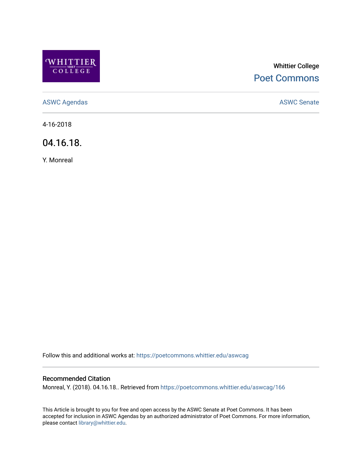

# Whittier College [Poet Commons](https://poetcommons.whittier.edu/)

[ASWC Agendas](https://poetcommons.whittier.edu/aswcag) **ASWC Senate** 

4-16-2018

04.16.18.

Y. Monreal

Follow this and additional works at: [https://poetcommons.whittier.edu/aswcag](https://poetcommons.whittier.edu/aswcag?utm_source=poetcommons.whittier.edu%2Faswcag%2F166&utm_medium=PDF&utm_campaign=PDFCoverPages) 

# Recommended Citation

Monreal, Y. (2018). 04.16.18.. Retrieved from [https://poetcommons.whittier.edu/aswcag/166](https://poetcommons.whittier.edu/aswcag/166?utm_source=poetcommons.whittier.edu%2Faswcag%2F166&utm_medium=PDF&utm_campaign=PDFCoverPages) 

This Article is brought to you for free and open access by the ASWC Senate at Poet Commons. It has been accepted for inclusion in ASWC Agendas by an authorized administrator of Poet Commons. For more information, please contact [library@whittier.edu](mailto:library@whittier.edu).